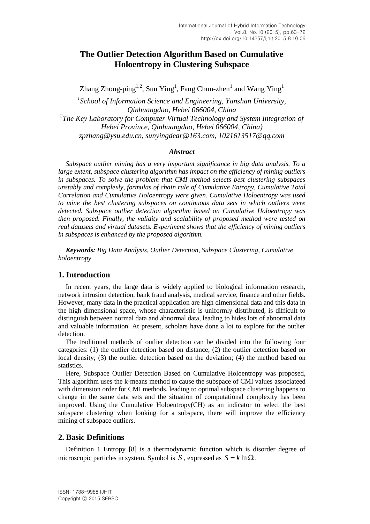# **The Outlier Detection Algorithm Based on Cumulative Holoentropy in Clustering Subspace**

Zhang Zhong-ping<sup>1,2</sup>, Sun Ying<sup>1</sup>, Fang Chun-zhen<sup>1</sup> and Wang Ying<sup>1</sup>

*1 School of Information Science and Engineering, Yanshan University, Qinhuangdao, Hebei 066004, China* <sup>2</sup>The Key Laboratory for Computer Virtual Technology and System Integration of *Hebei Province, Qinhuangdao, Hebei 066004, China) zpzhang@ysu.edu.cn, sunyingdear@163.com, 1021613517@qq.com*

#### *Abstract*

*Subspace outlier mining has a very important significance in big data analysis. To a large extent, subspace clustering algorithm has impact on the efficiency of mining outliers in subspaces. To solve the problem that CMI method selects best clustering subspaces unstably and complexly, formulas of chain rule of Cumulative Entropy, Cumulative Total Correlation and Cumulative Holoentropy were given. Cumulative Holoentropy was used to mine the best clustering subspaces on continuous data sets in which outliers were detected. Subspace outlier detection algorithm based on Cumulative Holoentropy was then proposed. Finally, the validity and scalability of proposed method were tested on real datasets and virtual datasets. Experiment shows that the efficiency of mining outliers in subspaces is enhanced by the proposed algorithm.*

*Keywords: Big Data Analysis, Outlier Detection, Subspace Clustering, Cumulative holoentropy*

#### **1. Introduction**

In recent years, the large data is widely applied to biological information research, network intrusion detection, bank fraud analysis, medical service, finance and other fields. However, many data in the practical application are high dimensional data and this data in the high dimensional space, whose characteristic is uniformly distributed, is difficult to distinguish between normal data and abnormal data, leading to hides lots of abnormal data and valuable information. At present, scholars have done a lot to explore for the outlier detection.

The traditional methods of outlier detection can be divided into the following four categories: (1) the outlier detection based on distance; (2) the outlier detection based on local density; (3) the outlier detection based on the deviation; (4) the method based on statistics.

Here, Subspace Outlier Detection Based on Cumulative Holoentropy was proposed, This algorithm uses the k-means method to cause the subspace of CMI values associateed with dimension order for CMI methods, leading to optimal subspace clustering happens to change in the same data sets and the situation of computational complexity has been improved. Using the Cumulative Holoentropy(CH) as an indicator to select the best subspace clustering when looking for a subspace, there will improve the efficiency mining of subspace outliers.

## **2. Basic Definitions**

Definition 1 Entropy [8] is a thermodynamic function which is disorder degree of microscopic particles in system. Symbol is S, expressed as  $S = k \ln \Omega$ .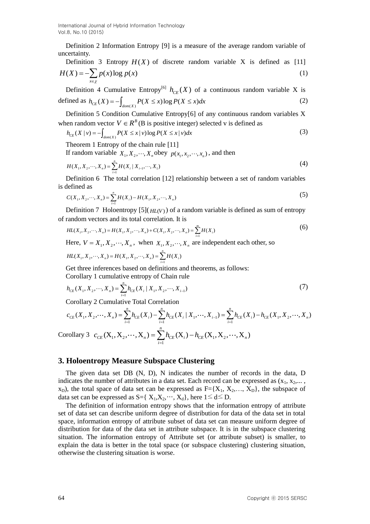Definition 2 Information Entropy [9] is a measure of the average random variable of uncertainty.

Definition 3 Entropy 
$$
H(X)
$$
 of discrete random variable X is defined as [11]  

$$
H(X) = -\sum_{x \in \chi} p(x) \log p(x)
$$
(1)

Definition 4 Cumulative Entropy<sup>[6]</sup>  $h_{CE}(X)$  of a continuous random variable X is Definition 4 Cumulative Entropy<sup>161</sup>  $h_{CE}(X)$  of a defined as  $h_{CE}(X) = -\int_{dom(X)} P(X \le x) \log P(X \le x) dx$ (2)

Definition 5 Condition Cumulative Entropy[6] of any continuous random variables X

when random vector 
$$
V \in R^B
$$
 (B is positive integer) selected v is defined as  
\n
$$
h_{CE}(X | v) = -\int_{dom(X)} P(X \le x | v) \log P(X \le x | v) dx
$$
\n(3)

Theorem 1 Entropy of the chain rule [11]

If random variable  $X_1, X_2, \dots, X_n$  obey  $p(x_1, x_2, \dots, x_n)$ , and then

$$
H(X_1, X_2, \cdots, X_n) = \sum_{i=1}^n H(X_i \mid X_{i-1}, \cdots, X_1)
$$
\n(4)

Definition 6 The total correlation [12] relationship between a set of random variables is defined as

defined as  

$$
C(X_1, X_2, \cdots, X_n) = \sum_{i=1}^n H(X_i) - H(X_1, X_2, \cdots, X_n)
$$
(5)

Definition 7 Holoentropy  $[5](<sub>HL(V)</sub>)$  of a random variable is defined as sum of entropy

of random vectors and its total correlation. It is  
\n
$$
HL(X_1, X_2, \dots, X_n) = H(X_1, X_2, \dots, X_n) + C(X_1, X_2, \dots, X_n) = \sum_{i=1}^{m} H(X_i)
$$
\n(6)

Here,  $V = X_1, X_2, \dots, X_n$ , when  $X_1, X_2, \dots, X_n$  are independent each other, so  $HL(X_1, X_2, \dots, X_n) = H(X_1, X_2, \dots, X_n) = \sum_{i=1}^{n} H(X_i)$ 

$$
HL(X_1, X_2, \cdots, X_n) = H(X_1, X_2, \cdots, X_n) = \sum_{i=1}^{n} H(X_i)
$$

Get three inferences based on definitions and theorems, as follows:

Corollary 1 cumulative entropy of Chain rule  

$$
h_{CE}(X_1, X_2, \cdots, X_n) = \sum_{i=1}^n h_{CE}(X_i | X_1, X_2, \cdots, X_{i-1})
$$
(7)

Get three inferences based on definitions and theorems, as follows:  
\nCorollary 1 cumulative entropy of Chain rule  
\n
$$
h_{CE}(X_1, X_2, \cdots, X_n) = \sum_{i=1}^n h_{CE}(X_i | X_1, X_2, \cdots, X_{i-1})
$$
\nCorollary 2 Cumulative Total Correlation  
\n
$$
c_{CE}(X_1, X_2, \cdots, X_n) = \sum_{i=1}^n h_{CE}(X_i) - \sum_{i=1}^n h_{CE}(X_i | X_1, \cdots, X_{i-1}) = \sum_{i=1}^n h_{CE}(X_i) - h_{CE}(X_1, X_2, \cdots, X_n)
$$
\nCorollary 3  $c_{CE}(X_1, X_2, \cdots, X_n) = \sum_{i=1}^n h_{CE}(X_i) - h_{CE}(X_1, X_2, \cdots, X_n)$ 

## **3. Holoentropy Measure Subspace Clustering**

The given data set DB (N, D), N indicates the number of records in the data, D indicates the number of attributes in a data set. Each record can be expressed as  $(x_1, x_2,..., x_n)$  $x_D$ ), the total space of data set can be expressed as  $F=[X_1, X_2, \ldots, X_D]$ , the subspace of data set can be expressed as  $S = \{ X_1, X_2, \dots, X_d \}$ , here  $1 \le d \le D$ .

The definition of information entropy shows that the information entropy of attribute set of data set can describe uniform degree of distribution for data of the data set in total space, information entropy of attribute subset of data set can measure uniform degree of distribution for data of the data set in attribute subspace. It is in the subspace clustering situation. The information entropy of Attribute set (or attribute subset) is smaller, to explain the data is better in the total space (or subspace clustering) clustering situation, otherwise the clustering situation is worse.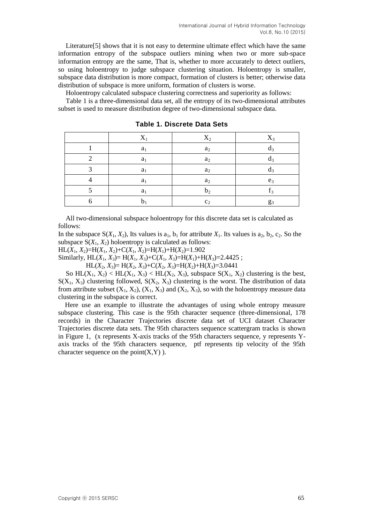Literature[5] shows that it is not easy to determine ultimate effect which have the same information entropy of the subspace outliers mining when two or more sub-space information entropy are the same, That is, whether to more accurately to detect outliers, so using holoentropy to judge subspace clustering situation. Holoentropy is smaller, subspace data distribution is more compact, formation of clusters is better; otherwise data distribution of subspace is more uniform, formation of clusters is worse.

Holoentropy calculated subspace clustering correctness and superiority as follows:

Table 1 is a three-dimensional data set, all the entropy of its two-dimensional attributes subset is used to measure distribution degree of two-dimensional subspace data.

|                   | $X_1$          | $X_2$          | $X_3$          |
|-------------------|----------------|----------------|----------------|
|                   | a <sub>1</sub> | $a_2$          |                |
|                   | $a_1$          | $a_2$          |                |
| $\mathbf{\Omega}$ | $a_1$          | $a_2$          | $\mathbf{u}_3$ |
|                   | a <sub>1</sub> | $a_2$          | $e_3$          |
|                   | a <sub>1</sub> | b <sub>2</sub> | c<br>I٩        |
|                   |                | c <sub>2</sub> | $g_3$          |

**Table 1. Discrete Data Sets**

All two-dimensional subspace holoentropy for this discrete data set is calculated as follows:

In the subspace  $S(X_1, X_2)$ , Its values is a<sub>1</sub>, b<sub>1</sub> for attribute  $X_1$ . Its values is a<sub>2</sub>, b<sub>2</sub>, c<sub>2</sub>. So the subspace  $S(X_1, X_2)$  holoentropy is calculated as follows:

 $HL(X_1, X_2) = H(X_1, X_2) + C(X_1, X_2) = H(X_1) + H(X_2) = 1.902$ 

Similarly,  $HL(X_1, X_3) = H(X_1, X_3) + C(X_1, X_3) = H(X_1) + H(X_3) = 2.4425$ ;

 $HL(X_2, X_3) = H(X_2, X_3) + C(X_2, X_3) = H(X_2) + H(X_3) = 3.0441$ 

So  $HL(X_1, X_2) < HL(X_1, X_3) < HL(X_2, X_3)$ , subspace  $S(X_1, X_2)$  clustering is the best,  $S(X_1, X_3)$  clustering followed,  $S(X_2, X_3)$  clustering is the worst. The distribution of data from attribute subset  $(X_1, X_2), (X_1, X_3)$  and  $(X_2, X_3)$ , so with the holoentropy measure data clustering in the subspace is correct.

Here use an example to illustrate the advantages of using whole entropy measure subspace clustering. This case is the 95th character sequence (three-dimensional, 178 records) in the Character Trajectories discrete data set of UCI dataset Character Trajectories discrete data sets. The 95th characters sequence scattergram tracks is shown in Figure 1, (x represents X-axis tracks of the 95th characters sequence, y represents Yaxis tracks of the 95th characters sequence, ptf represents tip velocity of the 95th character sequence on the point $(X, Y)$ ).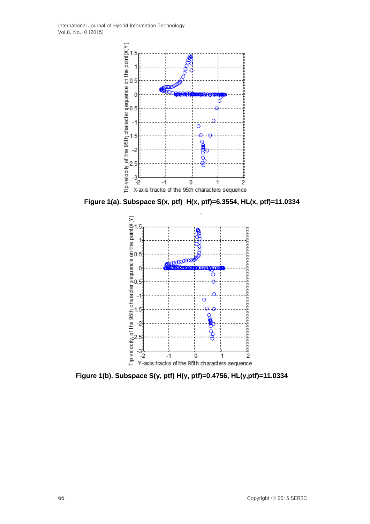

**Figure 1(a). Subspace S(x, ptf) H(x, ptf)=6.3554, HL(x, ptf)=11.0334**



**Figure 1(b). Subspace S(y, ptf) H(y, ptf)=0.4756, HL(y,ptf)=11.0334**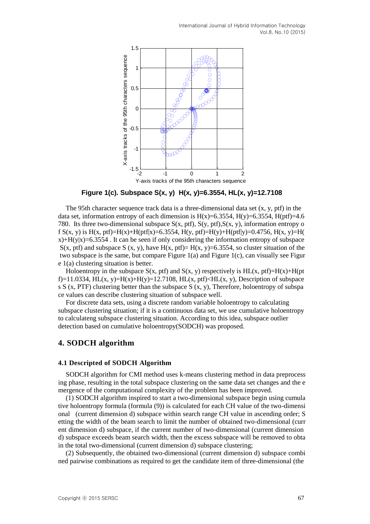

**Figure 1(c). Subspace S(x, y) H(x, y)=6.3554, HL(x, y)=12.7108**

The 95th character sequence track data is a three-dimensional data set  $(x, y, \text{pt})$  in the data set, information entropy of each dimension is  $H(x)=6.3554$ ,  $H(y)=6.3554$ ,  $H(pt)=4.6$ 780. Its three two-dimensional subspace  $S(x, ptf)$ ,  $S(y, ptf)$ ,  $S(x, y)$ , information entropy o f S(x, y) is H(x, ptf)=H(x)+H(ptf|x)=6.3554, H(y, ptf)=H(y)+H(ptf|y)=0.4756, H(x, y)=H( x)+H(y|x)=6.3554 . It can be seen if only considering the information entropy of subspace  $S(x, \text{pt})$  and subspace S  $(x, y)$ , have  $H(x, \text{pt})=H(x, y)=6.3554$ , so cluster situation of the two subspace is the same, but compare Figure 1(a) and Figure 1(c), can visually see Figur e 1(a) clustering situation is better.

Holoentropy in the subspace  $S(x, ptf)$  and  $S(x, y)$  respectively is  $HL(x, ptf)=H(x)+H(pt$ f)=11.0334, HL(x, y)=H(x)+H(y)=12.7108, HL(x, ptf)<HL(x, y), Description of subspace s S (x, PTF) clustering better than the subspace S (x, y), Therefore, holoentropy of subspa ce values can describe clustering situation of subspace well.

For discrete data sets, using a discrete random variable holoentropy to calculating subspace clustering situation; if it is a continuous data set, we use cumulative holoentropy to calculateng subspace clustering situation. According to this idea, subspace outlier detection based on cumulative holoentropy(SODCH) was proposed.

## **4. SODCH algorithm**

#### **4.1 Descripted of SODCH Algorithm**

SODCH algorithm for CMI method uses k-means clustering method in data preprocess ing phase, resulting in the total subspace clustering on the same data set changes and the e mergence of the computational complexity of the problem has been improved.

(1) SODCH algorithm inspired to start a two-dimensional subspace begin using cumula tive holoentropy formula (formula (9)) is calculated for each CH value of the two-dimensi onal (current dimension d) subspace within search range CH value in ascending order; S etting the width of the beam search to limit the number of obtained two-dimensional (curr ent dimension d) subspace, if the current number of two-dimensional (current dimension d) subspace exceeds beam search width, then the excess subspace will be removed to obta in the total two-dimensional (current dimension d) subspace clustering;

(2) Subsequently, the obtained two-dimensional (current dimension d) subspace combi ned pairwise combinations as required to get the candidate item of three-dimensional (the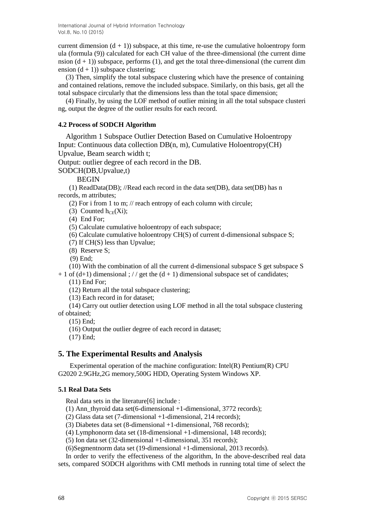current dimension  $(d + 1)$ ) subspace, at this time, re-use the cumulative holoentropy form ula (formula (9)) calculated for each CH value of the three-dimensional (the current dime nsion  $(d + 1)$ ) subspace, performs (1), and get the total three-dimensional (the current dim ension  $(d + 1)$ ) subspace clustering;

(3) Then, simplify the total subspace clustering which have the presence of containing and contained relations, remove the included subspace. Similarly, on this basis, get all the total subspace circularly that the dimensions less than the total space dimension;

(4) Finally, by using the LOF method of outlier mining in all the total subspace clusteri ng, output the degree of the outlier results for each record.

#### **4.2 Process of SODCH Algorithm**

Algorithm 1 Subspace Outlier Detection Based on Cumulative Holoentropy Input: Continuous data collection DB(n, m), Cumulative Holoentropy(CH) Upvalue, Beam search width t;

Output: outlier degree of each record in the DB.

SODCH(DB,Upvalue,t)

BEGIN

(1) ReadData(DB); //Read each record in the data set(DB), data set(DB) has n records, m attributes;

(2) For i from 1 to m; // reach entropy of each column with circule;

(3) Counted  $h_{CE}(Xi)$ ;

(4) End For;

(5) Calculate cumulative holoentropy of each subspace;

(6) Calculate cumulative holoentropy CH(S) of current d-dimensional subspace S;

(7) If CH(S) less than Upvalue;

(8) Reserve S;

(9) End;

(10) With the combination of all the current d-dimensional subspace S get subspace S  $+ 1$  of (d+1) dimensional ; // get the (d + 1) dimensional subspace set of candidates;

(11) End For;

(12) Return all the total subspace clustering;

(13) Each record in for dataset;

(14) Carry out outlier detection using LOF method in all the total subspace clustering of obtained;

(15) End;

(16) Output the outlier degree of each record in dataset;

(17) End;

#### **5. The Experimental Results and Analysis**

Experimental operation of the machine configuration:  $Intel(R)$  Pentium $(R)$  CPU G2020 2.9GHz,2G memory,500G HDD, Operating System Windows XP.

#### **5.1 Real Data Sets**

Real data sets in the literature<sup>[6]</sup> include :

(1) Ann\_thyroid data set(6-dimensional +1-dimensional, 3772 records);

(2) Glass data set (7-dimensional +1-dimensional, 214 records);

(3) Diabetes data set (8-dimensional +1-dimensional, 768 records);

(4) Lymphonorm data set (18-dimensional +1-dimensional, 148 records);

(5) Ion data set (32-dimensional +1-dimensional, 351 records);

(6)Segmentnorm data set (19-dimensional +1-dimensional, 2013 records).

In order to verify the effectiveness of the algorithm, In the above-described real data sets, compared SODCH algorithms with CMI methods in running total time of select the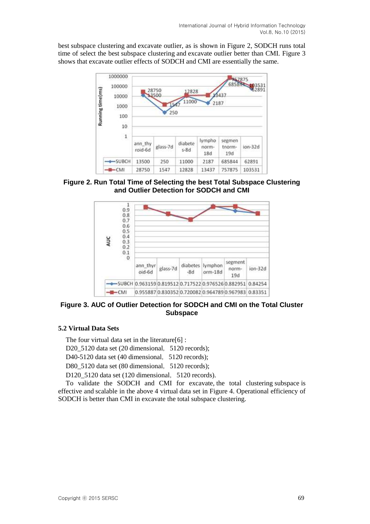best subspace clustering and excavate outlier, as is shown in Figure 2, SODCH runs total time of select the best subspace clustering and excavate outlier better than CMI. Figure 3 shows that excavate outlier effects of SODCH and CMI are essentially the same.



**Figure 2. Run Total Time of Selecting the best Total Subspace Clustering and Outlier Detection for SODCH and CMI**



**Figure 3. AUC of Outlier Detection for SODCH and CMI on the Total Cluster Subspace**

## **5.2 Virtual Data Sets**

The four virtual data set in the literature [6] :

D20 5120 data set (20 dimensional, 5120 records);

D40-5120 data set (40 dimensional, 5120 records);

D80 5120 data set (80 dimensional, 5120 records);

D120 5120 data set (120 dimensional, 5120 records).

To validate the SODCH and CMI for excavate, the total clustering subspace is effective and scalable in the above 4 virtual data set in Figure 4. Operational efficiency of SODCH is better than CMI in excavate the total subspace clustering.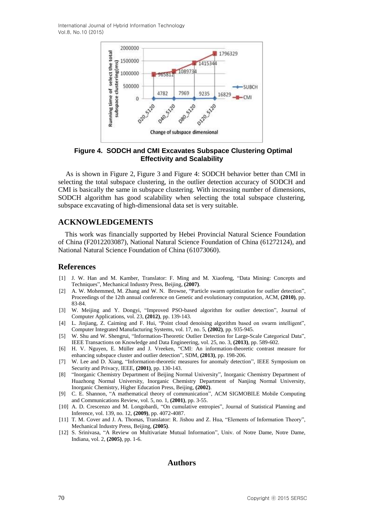

**Figure 4. SODCH and CMI Excavates Subspace Clustering Optimal Effectivity and Scalability**

As is shown in Figure 2, Figure 3 and Figure 4: SODCH behavior better than CMI in selecting the total subspace clustering, in the outlier detection accuracy of SODCH and CMI is basically the same in subspace clustering. With increasing number of dimensions, SODCH algorithm has good scalability when selecting the total subspace clustering, subspace excavating of high-dimensional data set is very suitable.

## **ACKNOWLEDGEMENTS**

This work was financially supported by Hebei Provincial Natural Science Foundation of China (F2012203087), National Natural Science Foundation of China (61272124), and National Natural Science Foundation of China (61073060).

#### **References**

- [1] J. W. Han and M. Kamber, Translator: F. Ming and M. Xiaofeng, "Data Mining: Concepts and Techniques", Mechanical Industry Press, Beijing, **(2007)**.
- [2] A. W. Mohemmed, M. Zhang and W. N. Browne, "Particle swarm optimization for outlier detection", Proceedings of the 12th annual conference on Genetic and evolutionary computation, ACM, **(2010)**, pp. 83-84.
- [3] W. Meijing and Y. Dongyi, "Improved PSO-based algorithm for outlier detection", Journal of Computer Applications, vol. 23, **(2012)**, pp. 139-143.
- [4] L. Jinjiang, Z. Caiming and F. Hui, "Point cloud denoising algorithm based on swarm intelligent", Computer Integrated Manufacturing Systems, vol. 17, no. 5, **(2002)**, pp. 935-945.
- [5] W. Shu and W. Shengrui, "Information-Theoretic Outlier Detection for Large-Scale Categorical Data", IEEE Transactions on Knowledge and Data Engineering, vol. 25, no. 3, **(2013)**, pp. 589-602.
- [6] H. V. Nguyen, E. Müller and J. Vreeken, "CMI: An information-theoretic contrast measure for enhancing subspace cluster and outlier detection", SDM, **(2013)**, pp. 198-206.
- [7] W. Lee and D. Xiang, "Information-theoretic measures for anomaly detection", IEEE Symposium on Security and Privacy, IEEE, **(2001)**, pp. 130-143.
- [8] "Inorganic Chemistry Department of Beijing Normal University", Inorganic Chemistry Department of Huazhong Normal University, Inorganic Chemistry Department of Nanjing Normal University, Inorganic Chemistry, Higher Education Press, Beijing, **(2002)**.
- [9] C. E. Shannon, "A mathematical theory of communication", ACM SIGMOBILE Mobile Computing and Communications Review, vol. 5, no. 1, **(2001)**, pp. 3-55.
- [10] A. D. Crescenzo and M. Longobardi, "On cumulative entropies", Journal of Statistical Planning and Inference, vol. 139, no. 12, **(2009)**, pp. 4072-4087.
- [11] T. M. Cover and J. A. Thomas, Translator: R. Jishou and Z. Hua, "Elements of Information Theory", Mechanical Industry Press, Beijing, **(2005)**.
- [12] S. Srinivasa, "A Review on Multivariate Mutual Information", Univ. of Notre Dame, Notre Dame, Indiana, vol. 2, **(2005)**, pp. 1-6.

### **Authors**